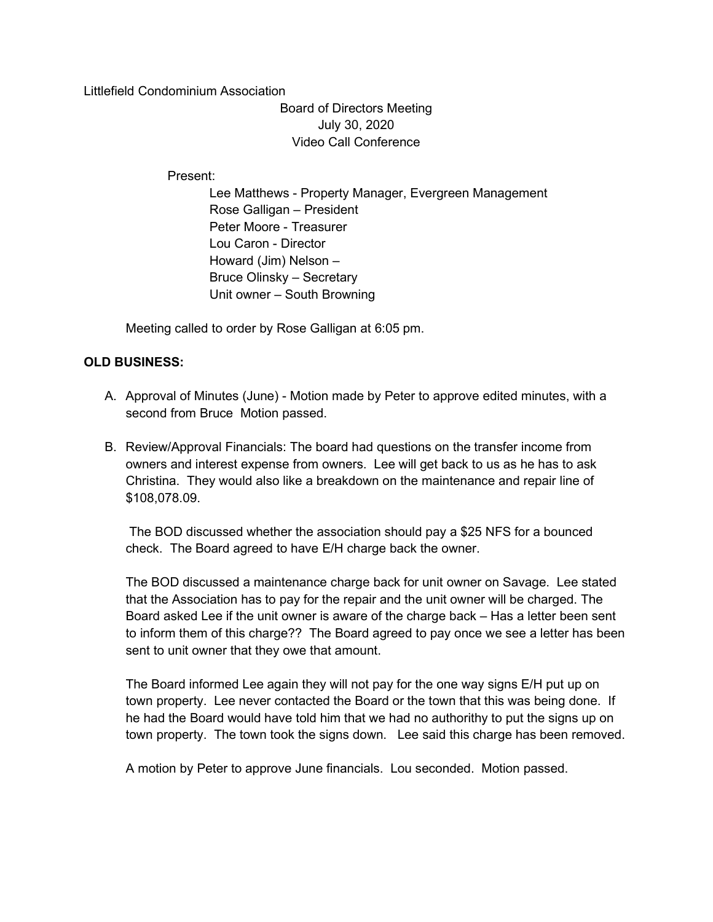Littlefield Condominium Association

Board of Directors Meeting July 30, 2020 Video Call Conference

Present:

 Lee Matthews - Property Manager, Evergreen Management Rose Galligan – President Peter Moore - Treasurer Lou Caron - Director Howard (Jim) Nelson – Bruce Olinsky – Secretary Unit owner – South Browning

Meeting called to order by Rose Galligan at 6:05 pm.

## OLD BUSINESS:

- A. Approval of Minutes (June) Motion made by Peter to approve edited minutes, with a second from Bruce Motion passed.
- B. Review/Approval Financials: The board had questions on the transfer income from owners and interest expense from owners. Lee will get back to us as he has to ask Christina. They would also like a breakdown on the maintenance and repair line of \$108,078.09.

 The BOD discussed whether the association should pay a \$25 NFS for a bounced check. The Board agreed to have E/H charge back the owner.

The BOD discussed a maintenance charge back for unit owner on Savage. Lee stated that the Association has to pay for the repair and the unit owner will be charged. The Board asked Lee if the unit owner is aware of the charge back – Has a letter been sent to inform them of this charge?? The Board agreed to pay once we see a letter has been sent to unit owner that they owe that amount.

The Board informed Lee again they will not pay for the one way signs E/H put up on town property. Lee never contacted the Board or the town that this was being done. If he had the Board would have told him that we had no authorithy to put the signs up on town property. The town took the signs down. Lee said this charge has been removed.

A motion by Peter to approve June financials. Lou seconded. Motion passed.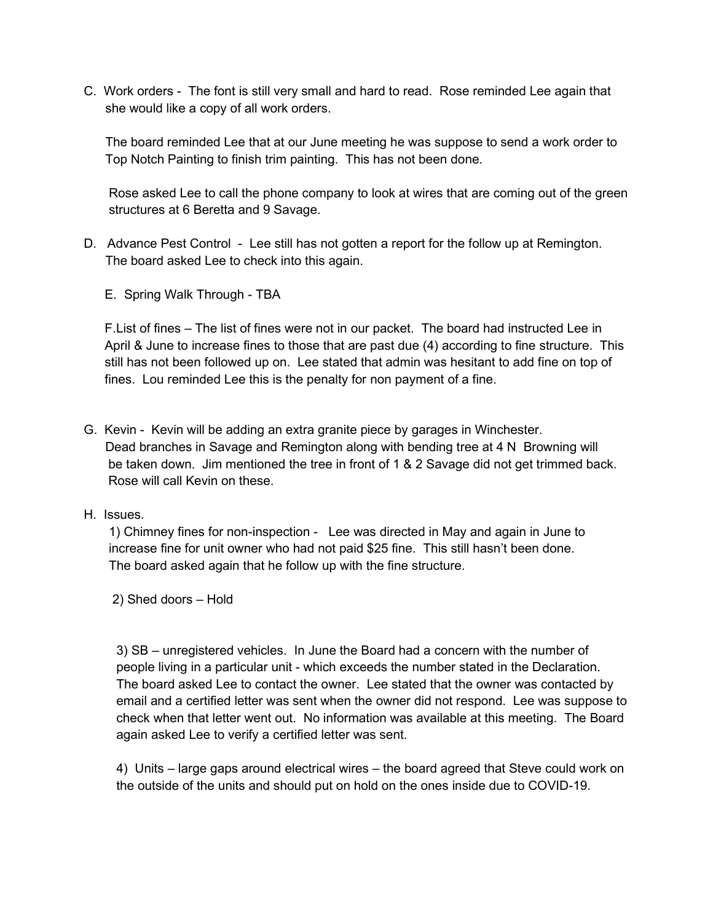C. Work orders - The font is still very small and hard to read. Rose reminded Lee again that she would like a copy of all work orders.

 The board reminded Lee that at our June meeting he was suppose to send a work order to Top Notch Painting to finish trim painting. This has not been done.

 Rose asked Lee to call the phone company to look at wires that are coming out of the green structures at 6 Beretta and 9 Savage.

- D. Advance Pest Control Lee still has not gotten a report for the follow up at Remington. The board asked Lee to check into this again.
	- E. Spring Walk Through TBA

F.List of fines – The list of fines were not in our packet. The board had instructed Lee in April & June to increase fines to those that are past due (4) according to fine structure. This still has not been followed up on. Lee stated that admin was hesitant to add fine on top of fines. Lou reminded Lee this is the penalty for non payment of a fine.

- G. Kevin Kevin will be adding an extra granite piece by garages in Winchester. Dead branches in Savage and Remington along with bending tree at 4 N Browning will be taken down. Jim mentioned the tree in front of 1 & 2 Savage did not get trimmed back. Rose will call Kevin on these.
- H. Issues.

 1) Chimney fines for non-inspection - Lee was directed in May and again in June to increase fine for unit owner who had not paid \$25 fine. This still hasn't been done. The board asked again that he follow up with the fine structure.

2) Shed doors – Hold

3) SB – unregistered vehicles. In June the Board had a concern with the number of people living in a particular unit - which exceeds the number stated in the Declaration. The board asked Lee to contact the owner. Lee stated that the owner was contacted by email and a certified letter was sent when the owner did not respond. Lee was suppose to check when that letter went out. No information was available at this meeting. The Board again asked Lee to verify a certified letter was sent.

4) Units – large gaps around electrical wires – the board agreed that Steve could work on the outside of the units and should put on hold on the ones inside due to COVID-19.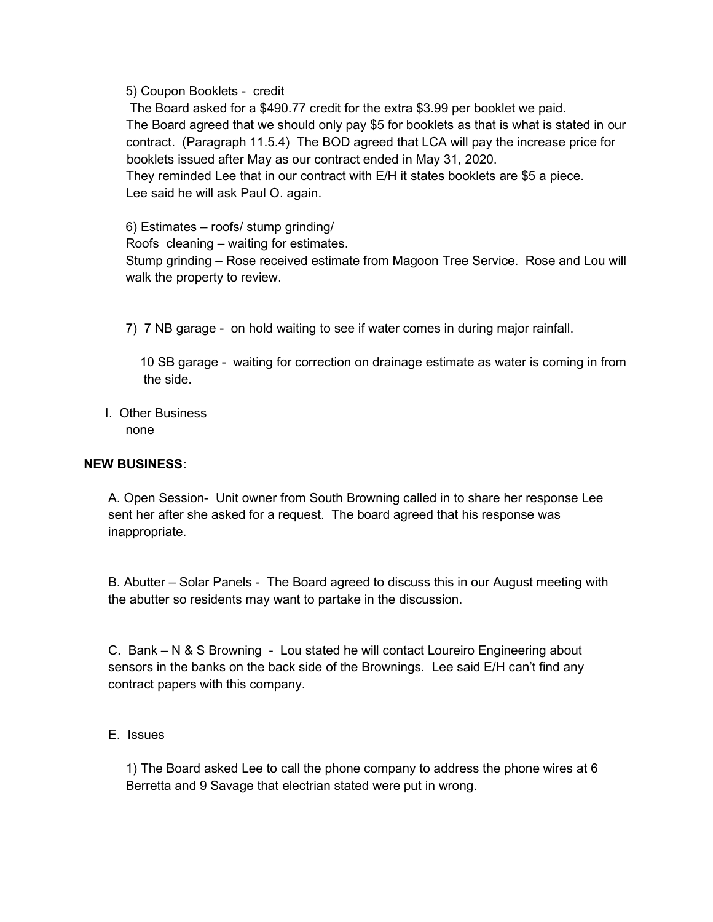5) Coupon Booklets - credit

 The Board asked for a \$490.77 credit for the extra \$3.99 per booklet we paid. The Board agreed that we should only pay \$5 for booklets as that is what is stated in our contract. (Paragraph 11.5.4) The BOD agreed that LCA will pay the increase price for booklets issued after May as our contract ended in May 31, 2020.

 They reminded Lee that in our contract with E/H it states booklets are \$5 a piece. Lee said he will ask Paul O. again.

6) Estimates – roofs/ stump grinding/

Roofs cleaning – waiting for estimates.

Stump grinding – Rose received estimate from Magoon Tree Service. Rose and Lou will walk the property to review.

7) 7 NB garage - on hold waiting to see if water comes in during major rainfall.

 10 SB garage - waiting for correction on drainage estimate as water is coming in from the side.

 I. Other Business none

## NEW BUSINESS:

A. Open Session- Unit owner from South Browning called in to share her response Lee sent her after she asked for a request. The board agreed that his response was inappropriate.

B. Abutter – Solar Panels - The Board agreed to discuss this in our August meeting with the abutter so residents may want to partake in the discussion.

C. Bank – N & S Browning - Lou stated he will contact Loureiro Engineering about sensors in the banks on the back side of the Brownings. Lee said E/H can't find any contract papers with this company.

E. Issues

1) The Board asked Lee to call the phone company to address the phone wires at 6 Berretta and 9 Savage that electrian stated were put in wrong.